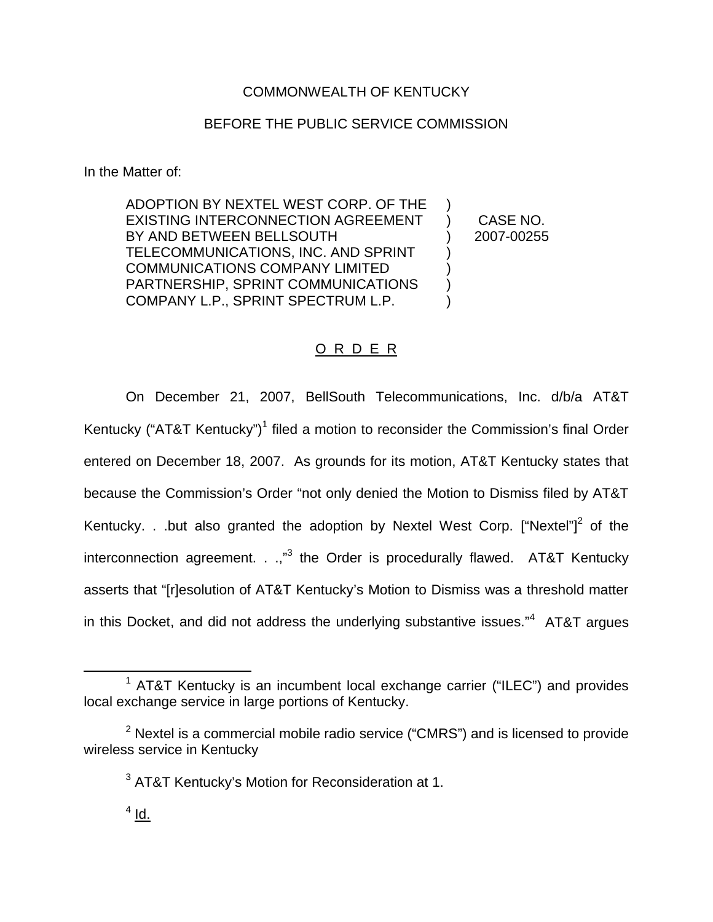## COMMONWEALTH OF KENTUCKY

### BEFORE THE PUBLIC SERVICE COMMISSION

In the Matter of:

ADOPTION BY NEXTEL WEST CORP. OF THE EXISTING INTERCONNECTION AGREEMENT BY AND BETWEEN BELLSOUTH TELECOMMUNICATIONS, INC. AND SPRINT COMMUNICATIONS COMPANY LIMITED PARTNERSHIP, SPRINT COMMUNICATIONS COMPANY L.P., SPRINT SPECTRUM L.P. ) ) ) ) )

) CASE NO. ) 2007-00255

## O R D E R

On December 21, 2007, BellSouth Telecommunications, Inc. d/b/a AT&T Kentucky ("AT&T Kentucky")<sup>1</sup> filed a motion to reconsider the Commission's final Order entered on December 18, 2007. As grounds for its motion, AT&T Kentucky states that because the Commission's Order "not only denied the Motion to Dismiss filed by AT&T Kentucky. . .but also granted the adoption by Nextel West Corp. ["Nextel"]<sup>2</sup> of the interconnection agreement.  $\ldots$ <sup>3</sup> the Order is procedurally flawed. AT&T Kentucky asserts that "[r]esolution of AT&T Kentucky's Motion to Dismiss was a threshold matter in this Docket, and did not address the underlying substantive issues."<sup>4</sup> AT&T argues

 $1$  AT&T Kentucky is an incumbent local exchange carrier ("ILEC") and provides local exchange service in large portions of Kentucky.

 $2$  Nextel is a commercial mobile radio service ("CMRS") and is licensed to provide wireless service in Kentucky

 $3$  AT&T Kentucky's Motion for Reconsideration at 1.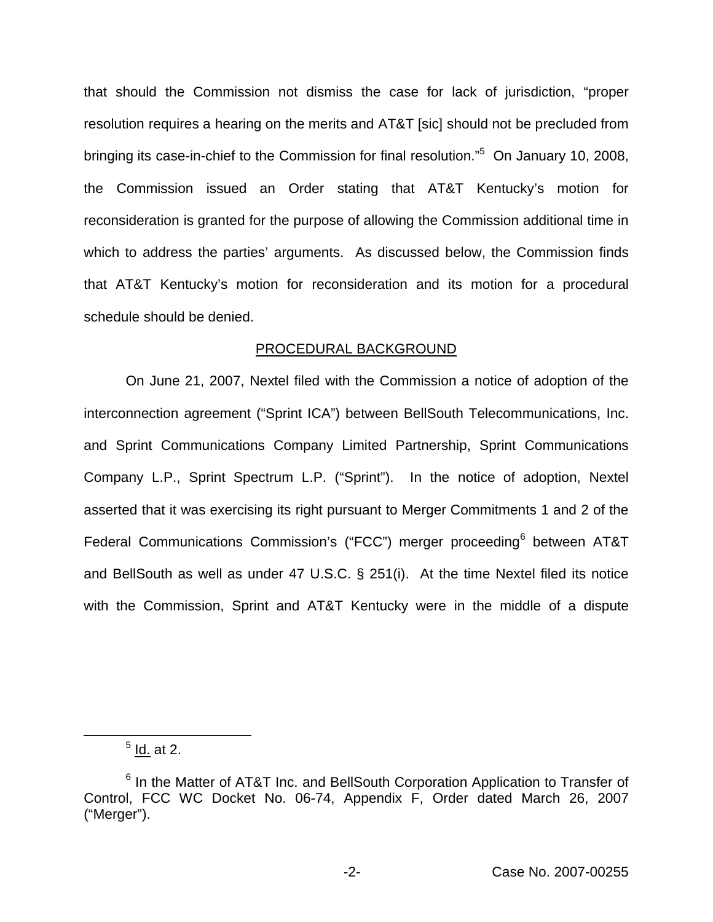that should the Commission not dismiss the case for lack of jurisdiction, "proper resolution requires a hearing on the merits and AT&T [sic] should not be precluded from bringing its case-in-chief to the Commission for final resolution."<sup>5</sup> On January 10, 2008, the Commission issued an Order stating that AT&T Kentucky's motion for reconsideration is granted for the purpose of allowing the Commission additional time in which to address the parties' arguments. As discussed below, the Commission finds that AT&T Kentucky's motion for reconsideration and its motion for a procedural schedule should be denied.

### PROCEDURAL BACKGROUND

On June 21, 2007, Nextel filed with the Commission a notice of adoption of the interconnection agreement ("Sprint ICA") between BellSouth Telecommunications, Inc. and Sprint Communications Company Limited Partnership, Sprint Communications Company L.P., Sprint Spectrum L.P. ("Sprint"). In the notice of adoption, Nextel asserted that it was exercising its right pursuant to Merger Commitments 1 and 2 of the Federal Communications Commission's ("FCC") merger proceeding<sup>6</sup> between AT&T and BellSouth as well as under 47 U.S.C. § 251(i). At the time Nextel filed its notice with the Commission, Sprint and AT&T Kentucky were in the middle of a dispute

 $<sup>5</sup>$  Id. at 2.</sup>

<sup>&</sup>lt;sup>6</sup> In the Matter of AT&T Inc. and BellSouth Corporation Application to Transfer of Control, FCC WC Docket No. 06-74, Appendix F, Order dated March 26, 2007 ("Merger").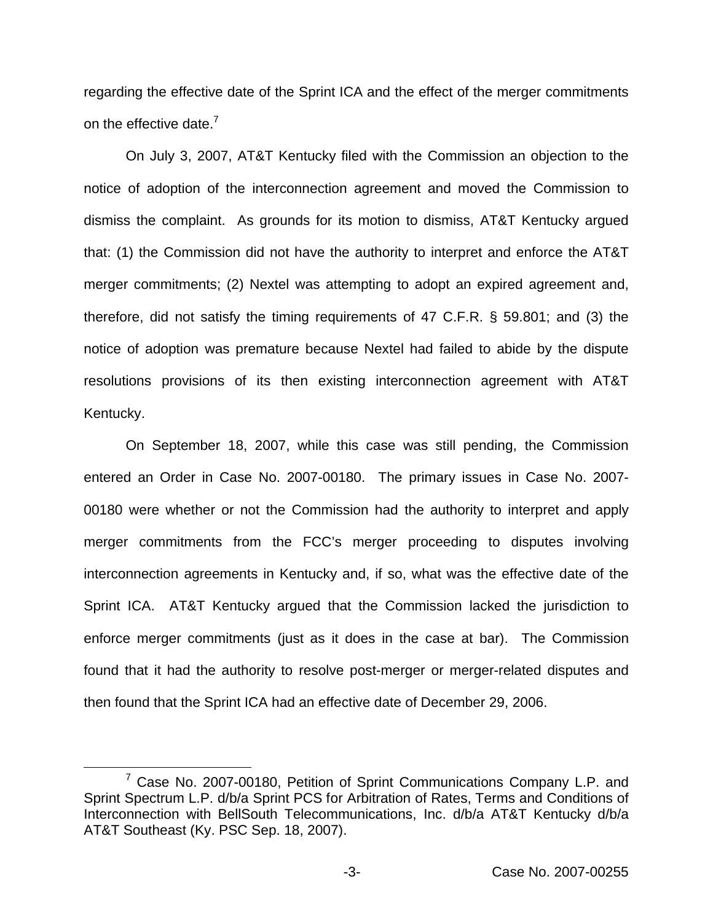regarding the effective date of the Sprint ICA and the effect of the merger commitments on the effective date.<sup>7</sup>

On July 3, 2007, AT&T Kentucky filed with the Commission an objection to the notice of adoption of the interconnection agreement and moved the Commission to dismiss the complaint. As grounds for its motion to dismiss, AT&T Kentucky argued that: (1) the Commission did not have the authority to interpret and enforce the AT&T merger commitments; (2) Nextel was attempting to adopt an expired agreement and, therefore, did not satisfy the timing requirements of 47 C.F.R. § 59.801; and (3) the notice of adoption was premature because Nextel had failed to abide by the dispute resolutions provisions of its then existing interconnection agreement with AT&T Kentucky.

On September 18, 2007, while this case was still pending, the Commission entered an Order in Case No. 2007-00180. The primary issues in Case No. 2007- 00180 were whether or not the Commission had the authority to interpret and apply merger commitments from the FCC's merger proceeding to disputes involving interconnection agreements in Kentucky and, if so, what was the effective date of the Sprint ICA. AT&T Kentucky argued that the Commission lacked the jurisdiction to enforce merger commitments (just as it does in the case at bar). The Commission found that it had the authority to resolve post-merger or merger-related disputes and then found that the Sprint ICA had an effective date of December 29, 2006.

<sup>&</sup>lt;sup>7</sup> Case No. 2007-00180, Petition of Sprint Communications Company L.P. and Sprint Spectrum L.P. d/b/a Sprint PCS for Arbitration of Rates, Terms and Conditions of Interconnection with BellSouth Telecommunications, Inc. d/b/a AT&T Kentucky d/b/a AT&T Southeast (Ky. PSC Sep. 18, 2007).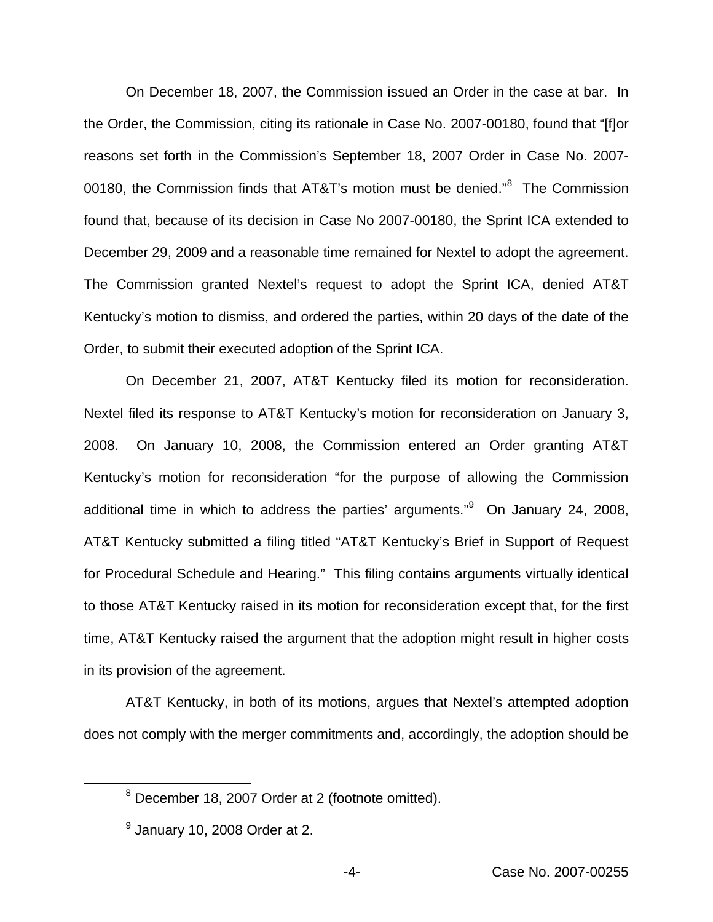On December 18, 2007, the Commission issued an Order in the case at bar. In the Order, the Commission, citing its rationale in Case No. 2007-00180, found that "[f]or reasons set forth in the Commission's September 18, 2007 Order in Case No. 2007- 00180, the Commission finds that AT&T's motion must be denied."<sup>8</sup> The Commission found that, because of its decision in Case No 2007-00180, the Sprint ICA extended to December 29, 2009 and a reasonable time remained for Nextel to adopt the agreement. The Commission granted Nextel's request to adopt the Sprint ICA, denied AT&T Kentucky's motion to dismiss, and ordered the parties, within 20 days of the date of the Order, to submit their executed adoption of the Sprint ICA.

On December 21, 2007, AT&T Kentucky filed its motion for reconsideration. Nextel filed its response to AT&T Kentucky's motion for reconsideration on January 3, 2008. On January 10, 2008, the Commission entered an Order granting AT&T Kentucky's motion for reconsideration "for the purpose of allowing the Commission additional time in which to address the parties' arguments."<sup>9</sup> On January 24, 2008, AT&T Kentucky submitted a filing titled "AT&T Kentucky's Brief in Support of Request for Procedural Schedule and Hearing." This filing contains arguments virtually identical to those AT&T Kentucky raised in its motion for reconsideration except that, for the first time, AT&T Kentucky raised the argument that the adoption might result in higher costs in its provision of the agreement.

AT&T Kentucky, in both of its motions, argues that Nextel's attempted adoption does not comply with the merger commitments and, accordingly, the adoption should be

<sup>8</sup> December 18, 2007 Order at 2 (footnote omitted).

 $<sup>9</sup>$  January 10, 2008 Order at 2.</sup>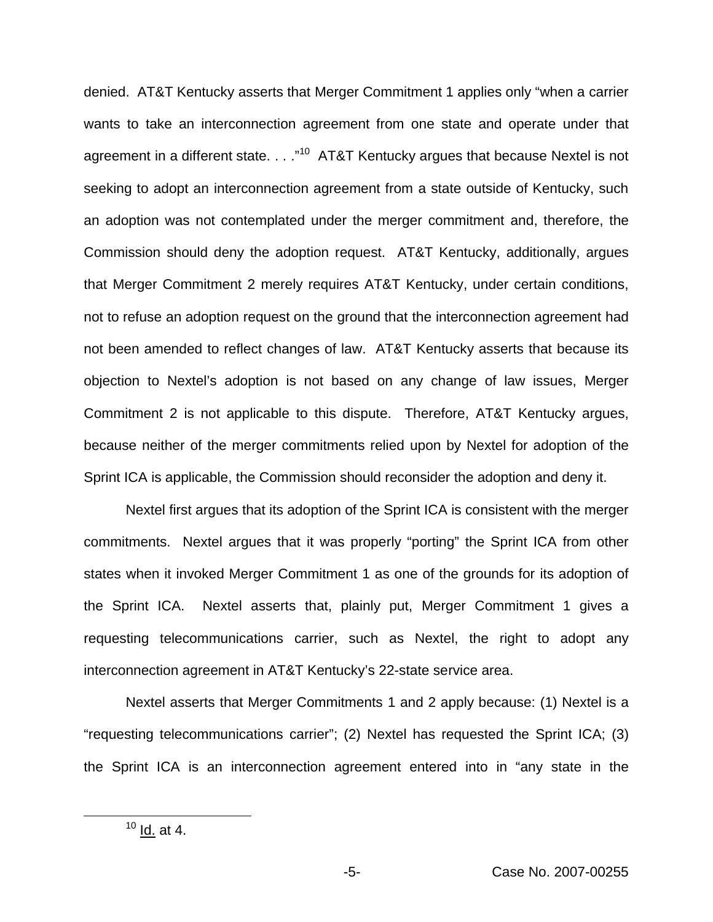denied. AT&T Kentucky asserts that Merger Commitment 1 applies only "when a carrier wants to take an interconnection agreement from one state and operate under that agreement in a different state. . . . "<sup>10</sup> AT&T Kentucky argues that because Nextel is not seeking to adopt an interconnection agreement from a state outside of Kentucky, such an adoption was not contemplated under the merger commitment and, therefore, the Commission should deny the adoption request. AT&T Kentucky, additionally, argues that Merger Commitment 2 merely requires AT&T Kentucky, under certain conditions, not to refuse an adoption request on the ground that the interconnection agreement had not been amended to reflect changes of law. AT&T Kentucky asserts that because its objection to Nextel's adoption is not based on any change of law issues, Merger Commitment 2 is not applicable to this dispute. Therefore, AT&T Kentucky argues, because neither of the merger commitments relied upon by Nextel for adoption of the Sprint ICA is applicable, the Commission should reconsider the adoption and deny it.

Nextel first argues that its adoption of the Sprint ICA is consistent with the merger commitments. Nextel argues that it was properly "porting" the Sprint ICA from other states when it invoked Merger Commitment 1 as one of the grounds for its adoption of the Sprint ICA. Nextel asserts that, plainly put, Merger Commitment 1 gives a requesting telecommunications carrier, such as Nextel, the right to adopt any interconnection agreement in AT&T Kentucky's 22-state service area.

Nextel asserts that Merger Commitments 1 and 2 apply because: (1) Nextel is a "requesting telecommunications carrier"; (2) Nextel has requested the Sprint ICA; (3) the Sprint ICA is an interconnection agreement entered into in "any state in the

 $10$  Id. at 4.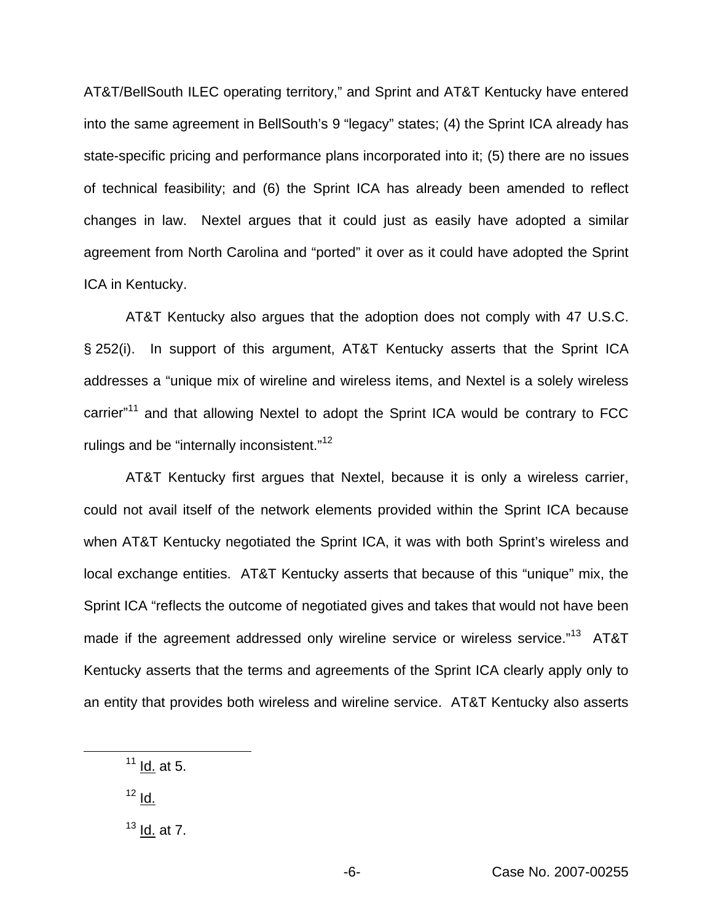AT&T/BellSouth ILEC operating territory," and Sprint and AT&T Kentucky have entered into the same agreement in BellSouth's 9 "legacy" states; (4) the Sprint ICA already has state-specific pricing and performance plans incorporated into it; (5) there are no issues of technical feasibility; and (6) the Sprint ICA has already been amended to reflect changes in law. Nextel argues that it could just as easily have adopted a similar agreement from North Carolina and "ported" it over as it could have adopted the Sprint ICA in Kentucky.

AT&T Kentucky also argues that the adoption does not comply with 47 U.S.C. § 252(i). In support of this argument, AT&T Kentucky asserts that the Sprint ICA addresses a "unique mix of wireline and wireless items, and Nextel is a solely wireless carrier"<sup>11</sup> and that allowing Nextel to adopt the Sprint ICA would be contrary to FCC rulings and be "internally inconsistent."<sup>12</sup>

AT&T Kentucky first argues that Nextel, because it is only a wireless carrier, could not avail itself of the network elements provided within the Sprint ICA because when AT&T Kentucky negotiated the Sprint ICA, it was with both Sprint's wireless and local exchange entities. AT&T Kentucky asserts that because of this "unique" mix, the Sprint ICA "reflects the outcome of negotiated gives and takes that would not have been made if the agreement addressed only wireline service or wireless service."<sup>13</sup> AT&T Kentucky asserts that the terms and agreements of the Sprint ICA clearly apply only to an entity that provides both wireless and wireline service. AT&T Kentucky also asserts

- $12 \underline{\mathsf{Id}}$ .
- $13$  Id. at 7.

 $11$  Id. at 5.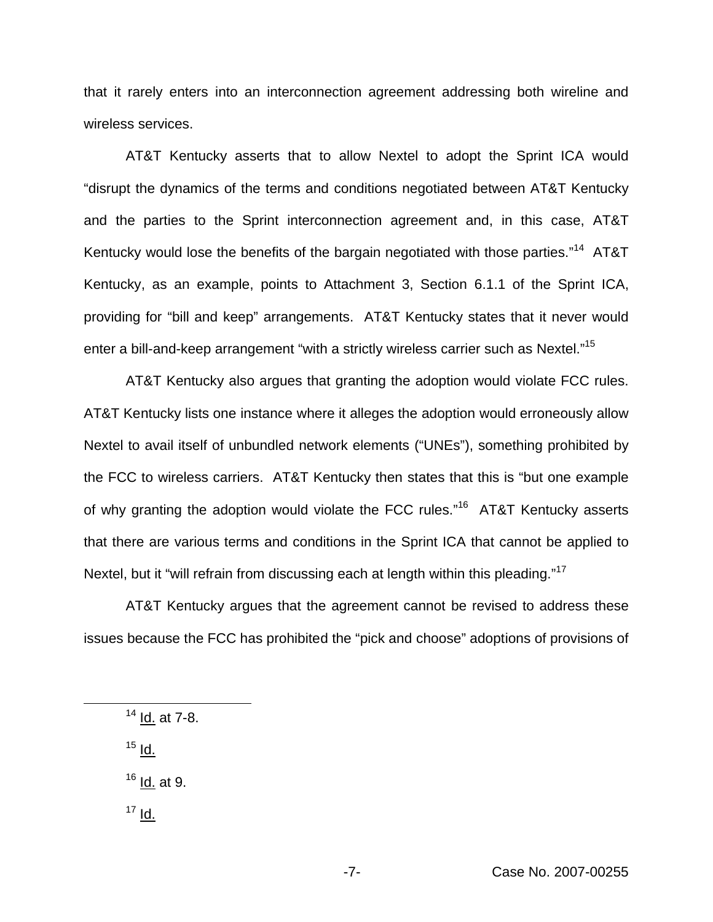that it rarely enters into an interconnection agreement addressing both wireline and wireless services.

AT&T Kentucky asserts that to allow Nextel to adopt the Sprint ICA would "disrupt the dynamics of the terms and conditions negotiated between AT&T Kentucky and the parties to the Sprint interconnection agreement and, in this case, AT&T Kentucky would lose the benefits of the bargain negotiated with those parties."<sup>14</sup> AT&T Kentucky, as an example, points to Attachment 3, Section 6.1.1 of the Sprint ICA, providing for "bill and keep" arrangements. AT&T Kentucky states that it never would enter a bill-and-keep arrangement "with a strictly wireless carrier such as Nextel."<sup>15</sup>

AT&T Kentucky also argues that granting the adoption would violate FCC rules. AT&T Kentucky lists one instance where it alleges the adoption would erroneously allow Nextel to avail itself of unbundled network elements ("UNEs"), something prohibited by the FCC to wireless carriers. AT&T Kentucky then states that this is "but one example of why granting the adoption would violate the FCC rules."<sup>16</sup> AT&T Kentucky asserts that there are various terms and conditions in the Sprint ICA that cannot be applied to Nextel, but it "will refrain from discussing each at length within this pleading."<sup>17</sup>

AT&T Kentucky argues that the agreement cannot be revised to address these issues because the FCC has prohibited the "pick and choose" adoptions of provisions of

<sup>14</sup> Id. at 7-8.

 $15$  Id.

 $16$  Id. at 9.

 $17$  Id.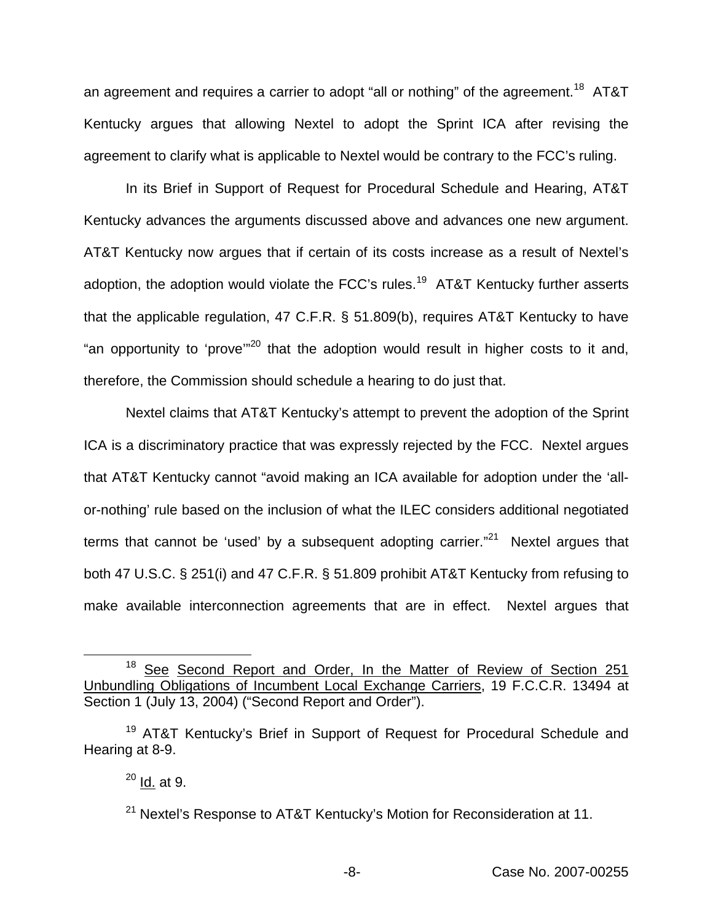an agreement and requires a carrier to adopt "all or nothing" of the agreement.<sup>18</sup> AT&T Kentucky argues that allowing Nextel to adopt the Sprint ICA after revising the agreement to clarify what is applicable to Nextel would be contrary to the FCC's ruling.

In its Brief in Support of Request for Procedural Schedule and Hearing, AT&T Kentucky advances the arguments discussed above and advances one new argument. AT&T Kentucky now argues that if certain of its costs increase as a result of Nextel's adoption, the adoption would violate the FCC's rules.<sup>19</sup> AT&T Kentucky further asserts that the applicable regulation, 47 C.F.R. § 51.809(b), requires AT&T Kentucky to have "an opportunity to 'prove"<sup>20</sup> that the adoption would result in higher costs to it and, therefore, the Commission should schedule a hearing to do just that.

Nextel claims that AT&T Kentucky's attempt to prevent the adoption of the Sprint ICA is a discriminatory practice that was expressly rejected by the FCC. Nextel argues that AT&T Kentucky cannot "avoid making an ICA available for adoption under the 'allor-nothing' rule based on the inclusion of what the ILEC considers additional negotiated terms that cannot be 'used' by a subsequent adopting carrier. $^{321}$  Nextel argues that both 47 U.S.C. § 251(i) and 47 C.F.R. § 51.809 prohibit AT&T Kentucky from refusing to make available interconnection agreements that are in effect. Nextel argues that

<sup>&</sup>lt;sup>18</sup> See Second Report and Order, In the Matter of Review of Section 251 Unbundling Obligations of Incumbent Local Exchange Carriers, 19 F.C.C.R. 13494 at Section 1 (July 13, 2004) ("Second Report and Order").

<sup>&</sup>lt;sup>19</sup> AT&T Kentucky's Brief in Support of Request for Procedural Schedule and Hearing at 8-9.

 $^{20}$  Id. at 9.

<sup>&</sup>lt;sup>21</sup> Nextel's Response to AT&T Kentucky's Motion for Reconsideration at 11.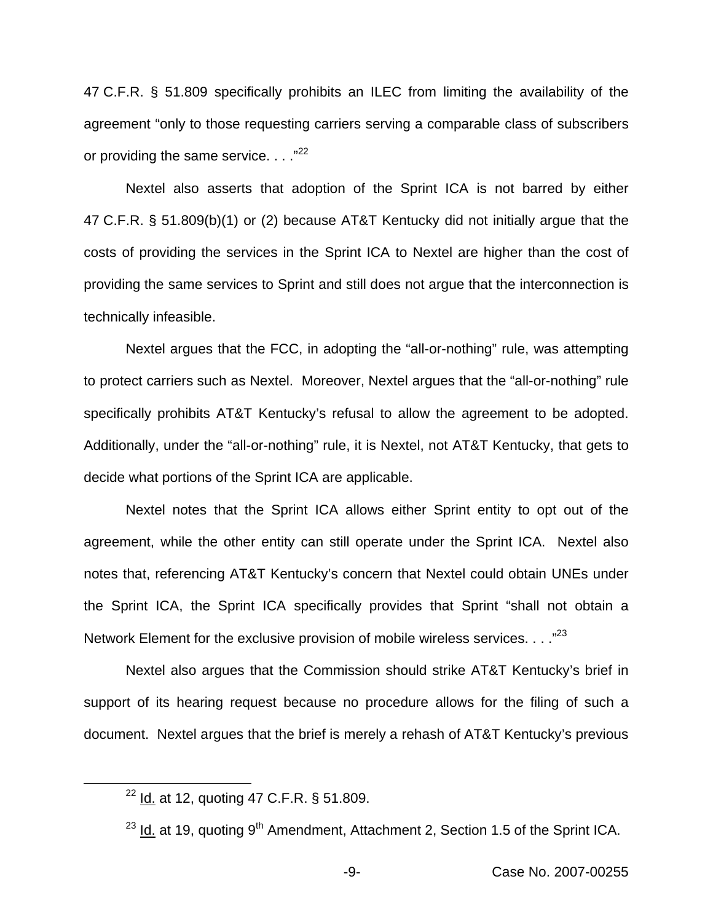47 C.F.R. § 51.809 specifically prohibits an ILEC from limiting the availability of the agreement "only to those requesting carriers serving a comparable class of subscribers or providing the same service.  $\ldots$ <sup>22</sup>

Nextel also asserts that adoption of the Sprint ICA is not barred by either 47 C.F.R. § 51.809(b)(1) or (2) because AT&T Kentucky did not initially argue that the costs of providing the services in the Sprint ICA to Nextel are higher than the cost of providing the same services to Sprint and still does not argue that the interconnection is technically infeasible.

Nextel argues that the FCC, in adopting the "all-or-nothing" rule, was attempting to protect carriers such as Nextel. Moreover, Nextel argues that the "all-or-nothing" rule specifically prohibits AT&T Kentucky's refusal to allow the agreement to be adopted. Additionally, under the "all-or-nothing" rule, it is Nextel, not AT&T Kentucky, that gets to decide what portions of the Sprint ICA are applicable.

Nextel notes that the Sprint ICA allows either Sprint entity to opt out of the agreement, while the other entity can still operate under the Sprint ICA. Nextel also notes that, referencing AT&T Kentucky's concern that Nextel could obtain UNEs under the Sprint ICA, the Sprint ICA specifically provides that Sprint "shall not obtain a Network Element for the exclusive provision of mobile wireless services.  $\ldots$ <sup>23</sup>

Nextel also argues that the Commission should strike AT&T Kentucky's brief in support of its hearing request because no procedure allows for the filing of such a document. Nextel argues that the brief is merely a rehash of AT&T Kentucky's previous

<sup>22</sup> Id. at 12, quoting 47 C.F.R. § 51.809.

<sup>&</sup>lt;sup>23</sup> Id. at 19, quoting 9<sup>th</sup> Amendment, Attachment 2, Section 1.5 of the Sprint ICA.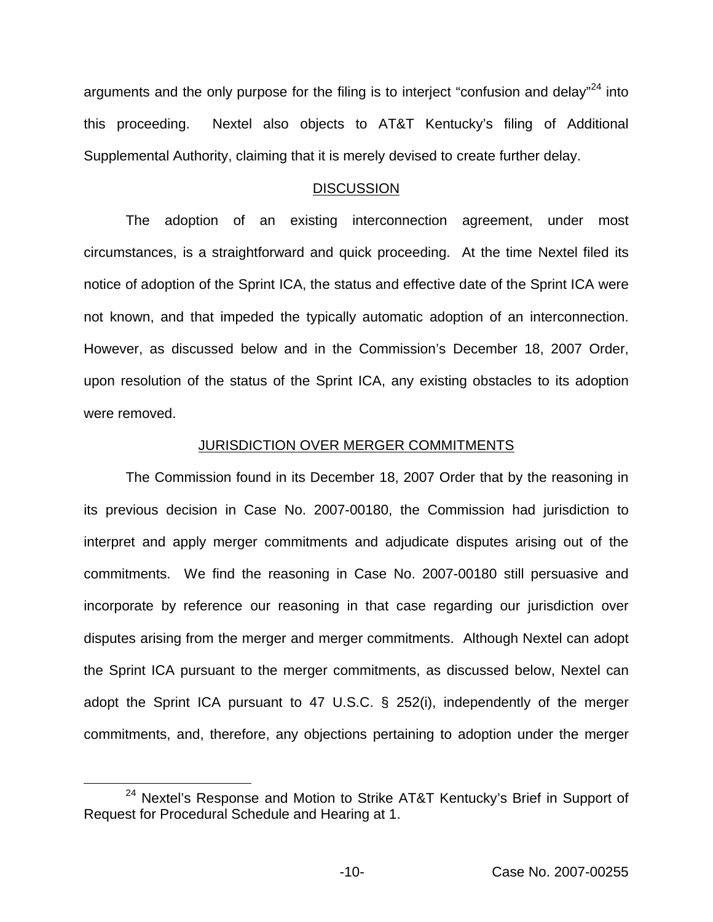arguments and the only purpose for the filing is to interject "confusion and delay"<sup>24</sup> into this proceeding. Nextel also objects to AT&T Kentucky's filing of Additional Supplemental Authority, claiming that it is merely devised to create further delay.

#### **DISCUSSION**

The adoption of an existing interconnection agreement, under most circumstances, is a straightforward and quick proceeding. At the time Nextel filed its notice of adoption of the Sprint ICA, the status and effective date of the Sprint ICA were not known, and that impeded the typically automatic adoption of an interconnection. However, as discussed below and in the Commission's December 18, 2007 Order, upon resolution of the status of the Sprint ICA, any existing obstacles to its adoption were removed.

#### JURISDICTION OVER MERGER COMMITMENTS

The Commission found in its December 18, 2007 Order that by the reasoning in its previous decision in Case No. 2007-00180, the Commission had jurisdiction to interpret and apply merger commitments and adjudicate disputes arising out of the commitments. We find the reasoning in Case No. 2007-00180 still persuasive and incorporate by reference our reasoning in that case regarding our jurisdiction over disputes arising from the merger and merger commitments. Although Nextel can adopt the Sprint ICA pursuant to the merger commitments, as discussed below, Nextel can adopt the Sprint ICA pursuant to 47 U.S.C. § 252(i), independently of the merger commitments, and, therefore, any objections pertaining to adoption under the merger

<sup>&</sup>lt;sup>24</sup> Nextel's Response and Motion to Strike AT&T Kentucky's Brief in Support of Request for Procedural Schedule and Hearing at 1.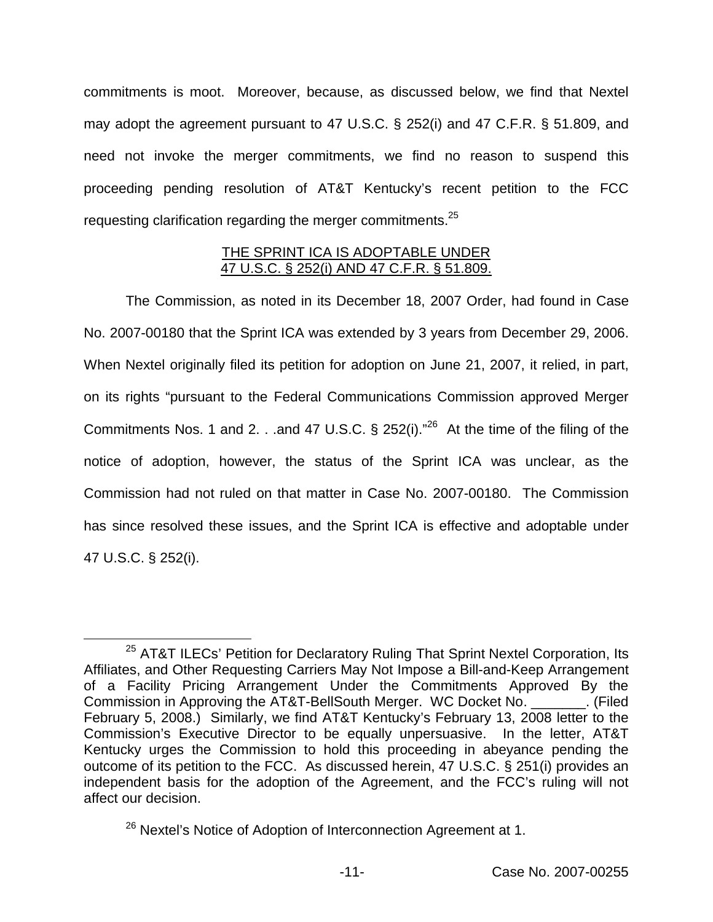commitments is moot. Moreover, because, as discussed below, we find that Nextel may adopt the agreement pursuant to 47 U.S.C. § 252(i) and 47 C.F.R. § 51.809, and need not invoke the merger commitments, we find no reason to suspend this proceeding pending resolution of AT&T Kentucky's recent petition to the FCC requesting clarification regarding the merger commitments.<sup>25</sup>

### THE SPRINT ICA IS ADOPTABLE UNDER 47 U.S.C. § 252(i) AND 47 C.F.R. § 51.809.

The Commission, as noted in its December 18, 2007 Order, had found in Case No. 2007-00180 that the Sprint ICA was extended by 3 years from December 29, 2006. When Nextel originally filed its petition for adoption on June 21, 2007, it relied, in part, on its rights "pursuant to the Federal Communications Commission approved Merger Commitments Nos. 1 and 2. . .and 47 U.S.C. § 252(i). $^{26}$  At the time of the filing of the notice of adoption, however, the status of the Sprint ICA was unclear, as the Commission had not ruled on that matter in Case No. 2007-00180. The Commission has since resolved these issues, and the Sprint ICA is effective and adoptable under 47 U.S.C. § 252(i).

<sup>&</sup>lt;sup>25</sup> AT&T ILECs' Petition for Declaratory Ruling That Sprint Nextel Corporation, Its Affiliates, and Other Requesting Carriers May Not Impose a Bill-and-Keep Arrangement of a Facility Pricing Arrangement Under the Commitments Approved By the Commission in Approving the AT&T-BellSouth Merger. WC Docket No. \_\_\_\_\_\_\_. (Filed February 5, 2008.) Similarly, we find AT&T Kentucky's February 13, 2008 letter to the Commission's Executive Director to be equally unpersuasive. In the letter, AT&T Kentucky urges the Commission to hold this proceeding in abeyance pending the outcome of its petition to the FCC. As discussed herein, 47 U.S.C. § 251(i) provides an independent basis for the adoption of the Agreement, and the FCC's ruling will not affect our decision.

<sup>&</sup>lt;sup>26</sup> Nextel's Notice of Adoption of Interconnection Agreement at 1.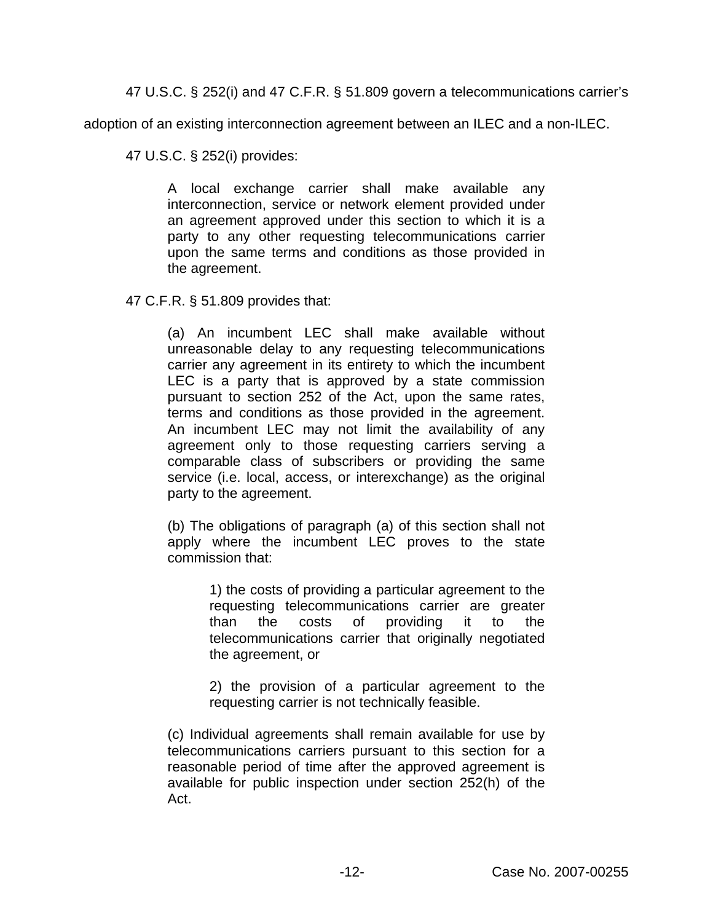47 U.S.C. § 252(i) and 47 C.F.R. § 51.809 govern a telecommunications carrier's

adoption of an existing interconnection agreement between an ILEC and a non-ILEC.

47 U.S.C. § 252(i) provides:

A local exchange carrier shall make available any interconnection, service or network element provided under an agreement approved under this section to which it is a party to any other requesting telecommunications carrier upon the same terms and conditions as those provided in the agreement.

47 C.F.R. § 51.809 provides that:

(a) An incumbent LEC shall make available without unreasonable delay to any requesting telecommunications carrier any agreement in its entirety to which the incumbent LEC is a party that is approved by a state commission pursuant to section 252 of the Act, upon the same rates, terms and conditions as those provided in the agreement. An incumbent LEC may not limit the availability of any agreement only to those requesting carriers serving a comparable class of subscribers or providing the same service (i.e. local, access, or interexchange) as the original party to the agreement.

(b) The obligations of paragraph (a) of this section shall not apply where the incumbent LEC proves to the state commission that:

> 1) the costs of providing a particular agreement to the requesting telecommunications carrier are greater than the costs of providing it to the telecommunications carrier that originally negotiated the agreement, or

> 2) the provision of a particular agreement to the requesting carrier is not technically feasible.

(c) Individual agreements shall remain available for use by telecommunications carriers pursuant to this section for a reasonable period of time after the approved agreement is available for public inspection under section 252(h) of the Act.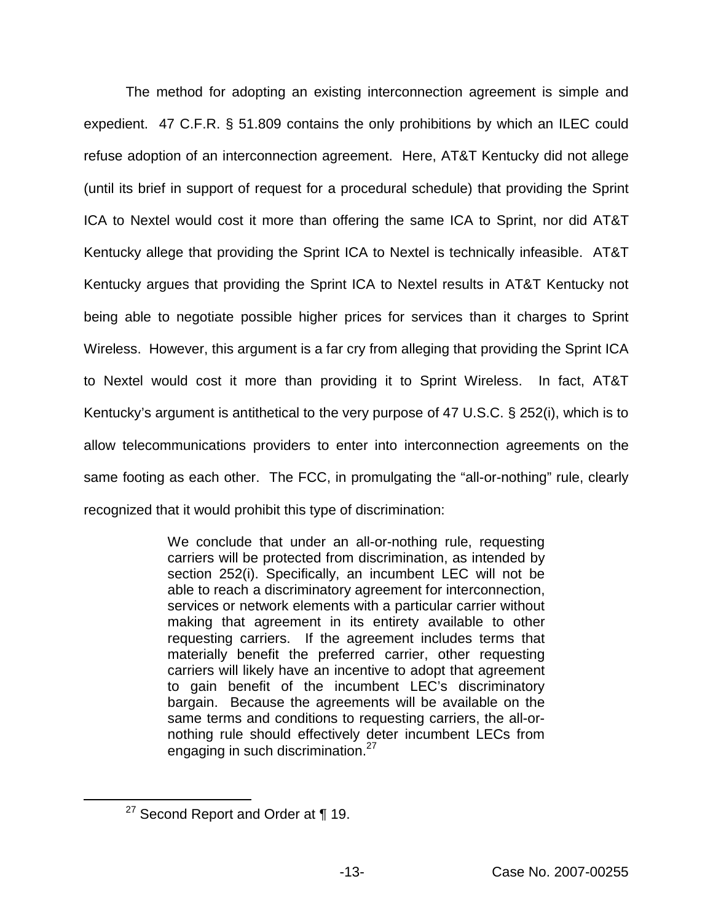The method for adopting an existing interconnection agreement is simple and expedient. 47 C.F.R. § 51.809 contains the only prohibitions by which an ILEC could refuse adoption of an interconnection agreement. Here, AT&T Kentucky did not allege (until its brief in support of request for a procedural schedule) that providing the Sprint ICA to Nextel would cost it more than offering the same ICA to Sprint, nor did AT&T Kentucky allege that providing the Sprint ICA to Nextel is technically infeasible. AT&T Kentucky argues that providing the Sprint ICA to Nextel results in AT&T Kentucky not being able to negotiate possible higher prices for services than it charges to Sprint Wireless. However, this argument is a far cry from alleging that providing the Sprint ICA to Nextel would cost it more than providing it to Sprint Wireless. In fact, AT&T Kentucky's argument is antithetical to the very purpose of 47 U.S.C. § 252(i), which is to allow telecommunications providers to enter into interconnection agreements on the same footing as each other. The FCC, in promulgating the "all-or-nothing" rule, clearly recognized that it would prohibit this type of discrimination:

> We conclude that under an all-or-nothing rule, requesting carriers will be protected from discrimination, as intended by section 252(i). Specifically, an incumbent LEC will not be able to reach a discriminatory agreement for interconnection, services or network elements with a particular carrier without making that agreement in its entirety available to other requesting carriers. If the agreement includes terms that materially benefit the preferred carrier, other requesting carriers will likely have an incentive to adopt that agreement to gain benefit of the incumbent LEC's discriminatory bargain. Because the agreements will be available on the same terms and conditions to requesting carriers, the all-ornothing rule should effectively deter incumbent LECs from engaging in such discrimination.<sup>27</sup>

 $27$  Second Report and Order at  $\P$  19.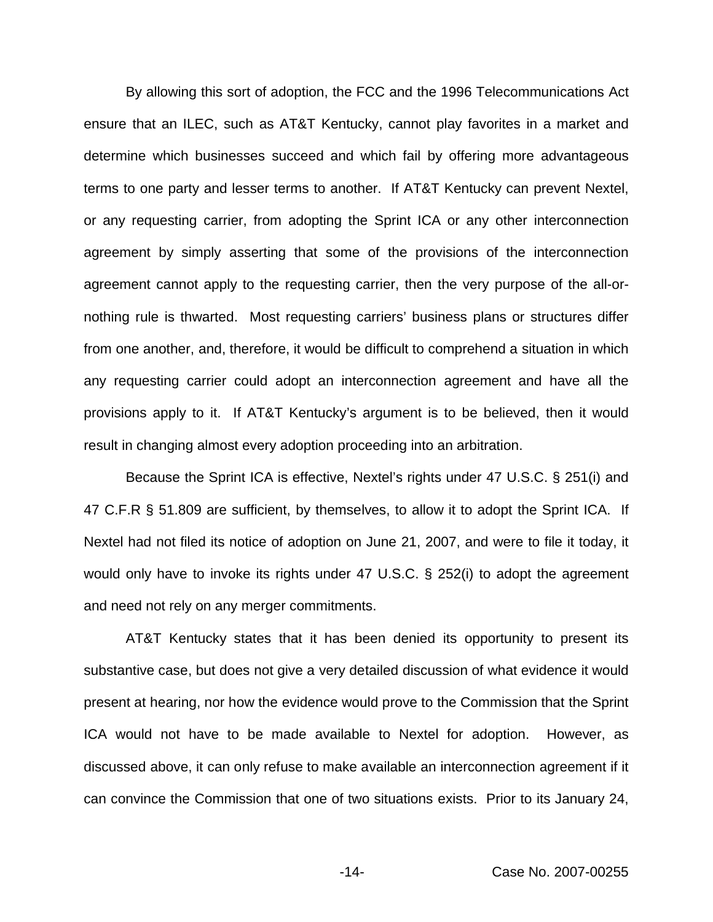By allowing this sort of adoption, the FCC and the 1996 Telecommunications Act ensure that an ILEC, such as AT&T Kentucky, cannot play favorites in a market and determine which businesses succeed and which fail by offering more advantageous terms to one party and lesser terms to another. If AT&T Kentucky can prevent Nextel, or any requesting carrier, from adopting the Sprint ICA or any other interconnection agreement by simply asserting that some of the provisions of the interconnection agreement cannot apply to the requesting carrier, then the very purpose of the all-ornothing rule is thwarted. Most requesting carriers' business plans or structures differ from one another, and, therefore, it would be difficult to comprehend a situation in which any requesting carrier could adopt an interconnection agreement and have all the provisions apply to it. If AT&T Kentucky's argument is to be believed, then it would result in changing almost every adoption proceeding into an arbitration.

Because the Sprint ICA is effective, Nextel's rights under 47 U.S.C. § 251(i) and 47 C.F.R § 51.809 are sufficient, by themselves, to allow it to adopt the Sprint ICA. If Nextel had not filed its notice of adoption on June 21, 2007, and were to file it today, it would only have to invoke its rights under 47 U.S.C. § 252(i) to adopt the agreement and need not rely on any merger commitments.

AT&T Kentucky states that it has been denied its opportunity to present its substantive case, but does not give a very detailed discussion of what evidence it would present at hearing, nor how the evidence would prove to the Commission that the Sprint ICA would not have to be made available to Nextel for adoption. However, as discussed above, it can only refuse to make available an interconnection agreement if it can convince the Commission that one of two situations exists. Prior to its January 24,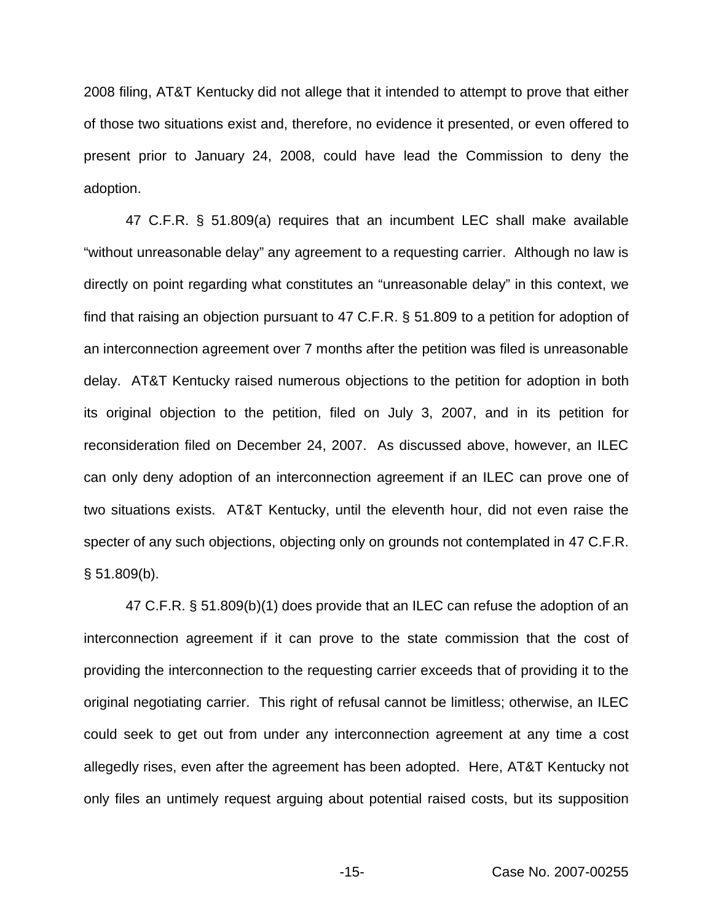2008 filing, AT&T Kentucky did not allege that it intended to attempt to prove that either of those two situations exist and, therefore, no evidence it presented, or even offered to present prior to January 24, 2008, could have lead the Commission to deny the adoption.

47 C.F.R. § 51.809(a) requires that an incumbent LEC shall make available "without unreasonable delay" any agreement to a requesting carrier. Although no law is directly on point regarding what constitutes an "unreasonable delay" in this context, we find that raising an objection pursuant to 47 C.F.R. § 51.809 to a petition for adoption of an interconnection agreement over 7 months after the petition was filed is unreasonable delay. AT&T Kentucky raised numerous objections to the petition for adoption in both its original objection to the petition, filed on July 3, 2007, and in its petition for reconsideration filed on December 24, 2007. As discussed above, however, an ILEC can only deny adoption of an interconnection agreement if an ILEC can prove one of two situations exists. AT&T Kentucky, until the eleventh hour, did not even raise the specter of any such objections, objecting only on grounds not contemplated in 47 C.F.R.  $§ 51.809(b).$ 

47 C.F.R. § 51.809(b)(1) does provide that an ILEC can refuse the adoption of an interconnection agreement if it can prove to the state commission that the cost of providing the interconnection to the requesting carrier exceeds that of providing it to the original negotiating carrier. This right of refusal cannot be limitless; otherwise, an ILEC could seek to get out from under any interconnection agreement at any time a cost allegedly rises, even after the agreement has been adopted. Here, AT&T Kentucky not only files an untimely request arguing about potential raised costs, but its supposition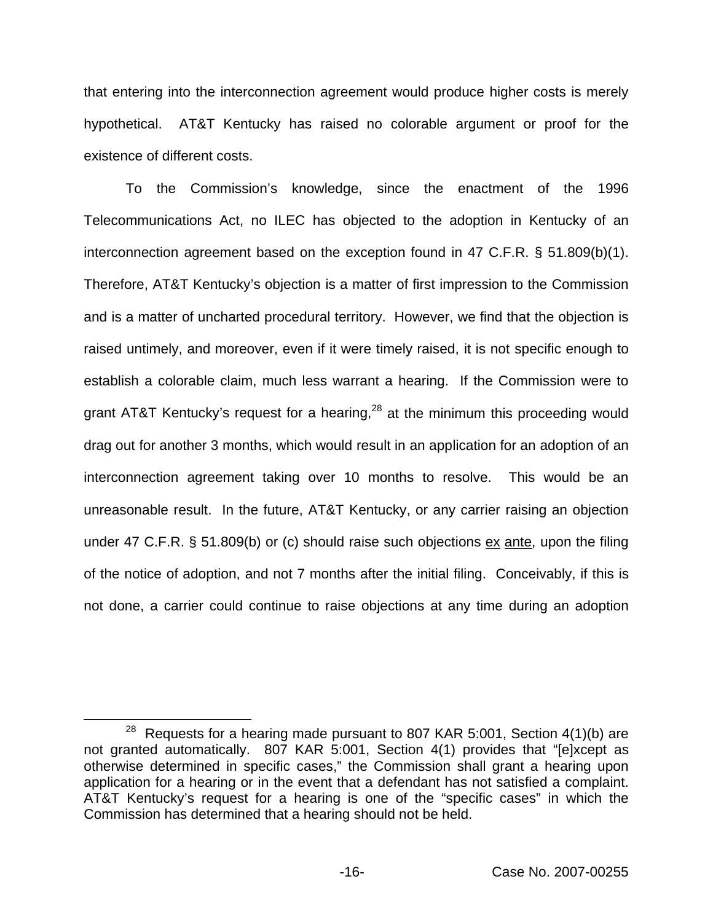that entering into the interconnection agreement would produce higher costs is merely hypothetical. AT&T Kentucky has raised no colorable argument or proof for the existence of different costs.

To the Commission's knowledge, since the enactment of the 1996 Telecommunications Act, no ILEC has objected to the adoption in Kentucky of an interconnection agreement based on the exception found in 47 C.F.R. § 51.809(b)(1). Therefore, AT&T Kentucky's objection is a matter of first impression to the Commission and is a matter of uncharted procedural territory. However, we find that the objection is raised untimely, and moreover, even if it were timely raised, it is not specific enough to establish a colorable claim, much less warrant a hearing. If the Commission were to grant AT&T Kentucky's request for a hearing,  $28$  at the minimum this proceeding would drag out for another 3 months, which would result in an application for an adoption of an interconnection agreement taking over 10 months to resolve. This would be an unreasonable result. In the future, AT&T Kentucky, or any carrier raising an objection under 47 C.F.R. § 51.809(b) or (c) should raise such objections ex ante, upon the filing of the notice of adoption, and not 7 months after the initial filing. Conceivably, if this is not done, a carrier could continue to raise objections at any time during an adoption

 $28$  Requests for a hearing made pursuant to 807 KAR 5:001, Section 4(1)(b) are not granted automatically. 807 KAR 5:001, Section 4(1) provides that "[e]xcept as otherwise determined in specific cases," the Commission shall grant a hearing upon application for a hearing or in the event that a defendant has not satisfied a complaint. AT&T Kentucky's request for a hearing is one of the "specific cases" in which the Commission has determined that a hearing should not be held.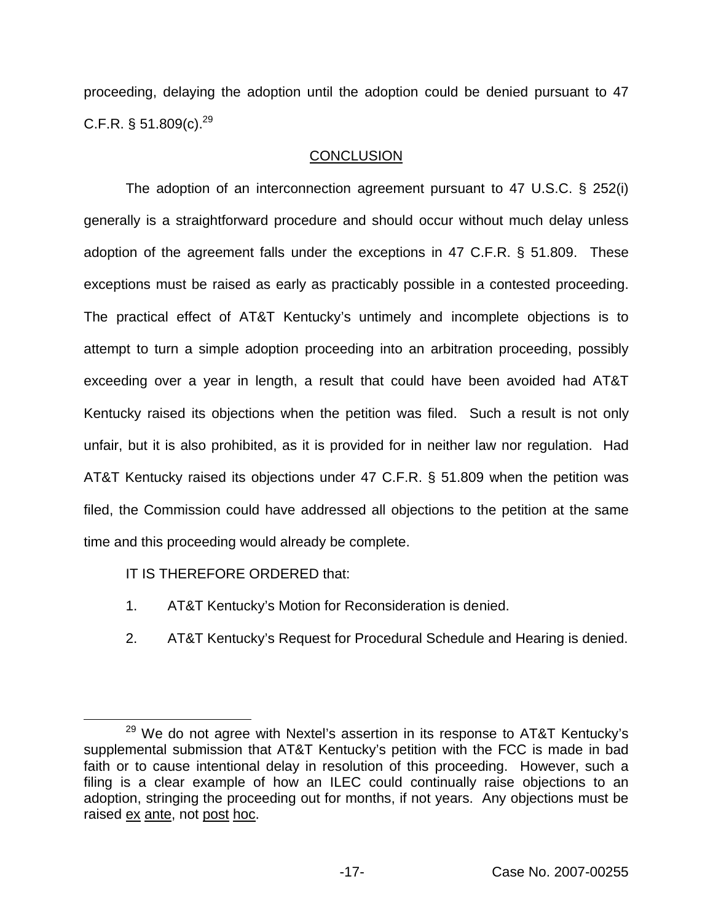proceeding, delaying the adoption until the adoption could be denied pursuant to 47 C.F.R.  $\S 51.809(c).^{29}$ 

# **CONCLUSION**

The adoption of an interconnection agreement pursuant to 47 U.S.C. § 252(i) generally is a straightforward procedure and should occur without much delay unless adoption of the agreement falls under the exceptions in 47 C.F.R. § 51.809. These exceptions must be raised as early as practicably possible in a contested proceeding. The practical effect of AT&T Kentucky's untimely and incomplete objections is to attempt to turn a simple adoption proceeding into an arbitration proceeding, possibly exceeding over a year in length, a result that could have been avoided had AT&T Kentucky raised its objections when the petition was filed. Such a result is not only unfair, but it is also prohibited, as it is provided for in neither law nor regulation. Had AT&T Kentucky raised its objections under 47 C.F.R. § 51.809 when the petition was filed, the Commission could have addressed all objections to the petition at the same time and this proceeding would already be complete.

IT IS THEREFORE ORDERED that:

- 1. AT&T Kentucky's Motion for Reconsideration is denied.
- 2. AT&T Kentucky's Request for Procedural Schedule and Hearing is denied.

 $29$  We do not agree with Nextel's assertion in its response to AT&T Kentucky's supplemental submission that AT&T Kentucky's petition with the FCC is made in bad faith or to cause intentional delay in resolution of this proceeding. However, such a filing is a clear example of how an ILEC could continually raise objections to an adoption, stringing the proceeding out for months, if not years. Any objections must be raised ex ante, not post hoc.